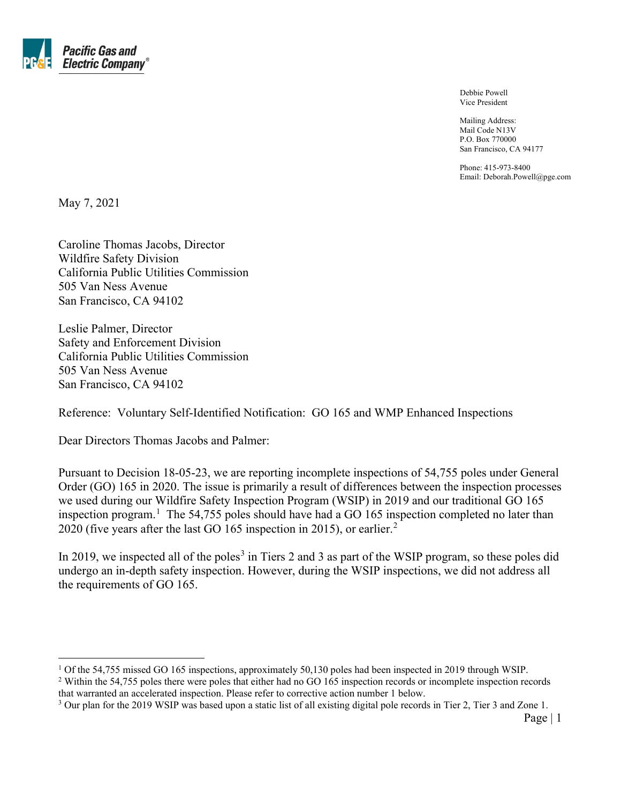

Debbie Powell Vice President

Mailing Address: Mail Code N13V P.O. Box 770000 San Francisco, CA 94177

Phone: 415-973-8400 Email: Deborah.Powell@pge.com

May 7, 2021

Caroline Thomas Jacobs, Director Wildfire Safety Division California Public Utilities Commission 505 Van Ness Avenue San Francisco, CA 94102

Leslie Palmer, Director Safety and Enforcement Division California Public Utilities Commission 505 Van Ness Avenue San Francisco, CA 94102

Reference: Voluntary Self-Identified Notification: GO 165 and WMP Enhanced Inspections

Dear Directors Thomas Jacobs and Palmer:

Pursuant to Decision 18-05-23, we are reporting incomplete inspections of 54,755 poles under General Order (GO) 165 in 2020. The issue is primarily a result of differences between the inspection processes we used during our Wildfire Safety Inspection Program (WSIP) in 2019 and our traditional GO 165 inspection program.<sup>[1](#page-0-0)</sup> The 54,755 poles should have had a GO 165 inspection completed no later than 2020 (five years after the last GO 165 inspection in 2015), or earlier. [2](#page-0-1)

In 2019, we inspected all of the poles<sup>[3](#page-0-2)</sup> in Tiers 2 and 3 as part of the WSIP program, so these poles did undergo an in-depth safety inspection. However, during the WSIP inspections, we did not address all the requirements of GO 165.

<span id="page-0-1"></span><span id="page-0-0"></span><sup>1</sup> Of the 54,755 missed GO 165 inspections, approximately 50,130 poles had been inspected in 2019 through WSIP. <sup>2</sup> Within the 54,755 poles there were poles that either had no GO 165 inspection records or incomplete inspection records that warranted an accelerated inspection. Please refer to corrective action number 1 below.

<span id="page-0-2"></span><sup>&</sup>lt;sup>3</sup> Our plan for the 2019 WSIP was based upon a static list of all existing digital pole records in Tier 2, Tier 3 and Zone 1.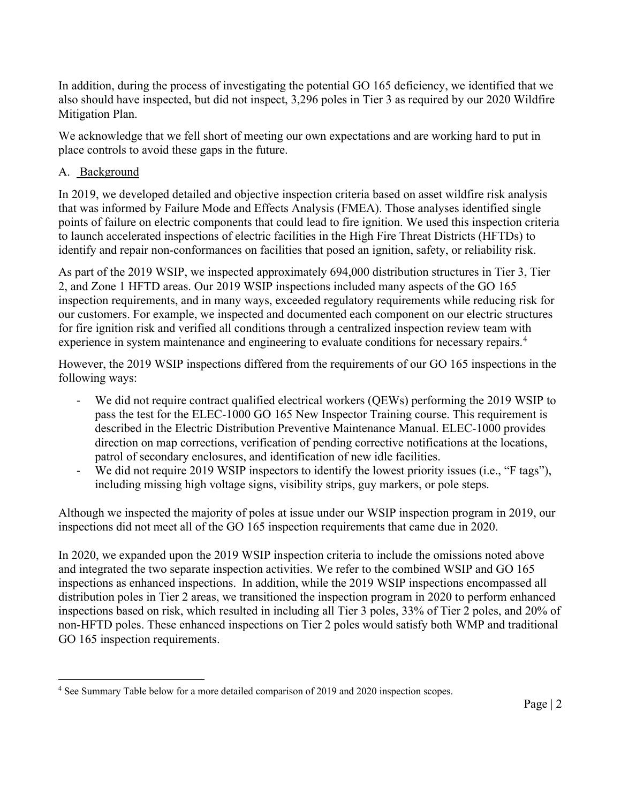In addition, during the process of investigating the potential GO 165 deficiency, we identified that we also should have inspected, but did not inspect, 3,296 poles in Tier 3 as required by our 2020 Wildfire Mitigation Plan.

We acknowledge that we fell short of meeting our own expectations and are working hard to put in place controls to avoid these gaps in the future.

## A. Background

In 2019, we developed detailed and objective inspection criteria based on asset wildfire risk analysis that was informed by Failure Mode and Effects Analysis (FMEA). Those analyses identified single points of failure on electric components that could lead to fire ignition. We used this inspection criteria to launch accelerated inspections of electric facilities in the High Fire Threat Districts (HFTDs) to identify and repair non-conformances on facilities that posed an ignition, safety, or reliability risk.

As part of the 2019 WSIP, we inspected approximately 694,000 distribution structures in Tier 3, Tier 2, and Zone 1 HFTD areas. Our 2019 WSIP inspections included many aspects of the GO 165 inspection requirements, and in many ways, exceeded regulatory requirements while reducing risk for our customers. For example, we inspected and documented each component on our electric structures for fire ignition risk and verified all conditions through a centralized inspection review team with experience in system maintenance and engineering to evaluate conditions for necessary repairs.<sup>[4](#page-1-0)</sup>

However, the 2019 WSIP inspections differed from the requirements of our GO 165 inspections in the following ways:

- We did not require contract qualified electrical workers (QEWs) performing the 2019 WSIP to pass the test for the ELEC-1000 GO 165 New Inspector Training course. This requirement is described in the Electric Distribution Preventive Maintenance Manual. ELEC-1000 provides direction on map corrections, verification of pending corrective notifications at the locations, patrol of secondary enclosures, and identification of new idle facilities.
- We did not require 2019 WSIP inspectors to identify the lowest priority issues (i.e., "F tags"), including missing high voltage signs, visibility strips, guy markers, or pole steps.

Although we inspected the majority of poles at issue under our WSIP inspection program in 2019, our inspections did not meet all of the GO 165 inspection requirements that came due in 2020.

In 2020, we expanded upon the 2019 WSIP inspection criteria to include the omissions noted above and integrated the two separate inspection activities. We refer to the combined WSIP and GO 165 inspections as enhanced inspections. In addition, while the 2019 WSIP inspections encompassed all distribution poles in Tier 2 areas, we transitioned the inspection program in 2020 to perform enhanced inspections based on risk, which resulted in including all Tier 3 poles, 33% of Tier 2 poles, and 20% of non-HFTD poles. These enhanced inspections on Tier 2 poles would satisfy both WMP and traditional GO 165 inspection requirements.

<span id="page-1-0"></span><sup>4</sup> See Summary Table below for a more detailed comparison of 2019 and 2020 inspection scopes.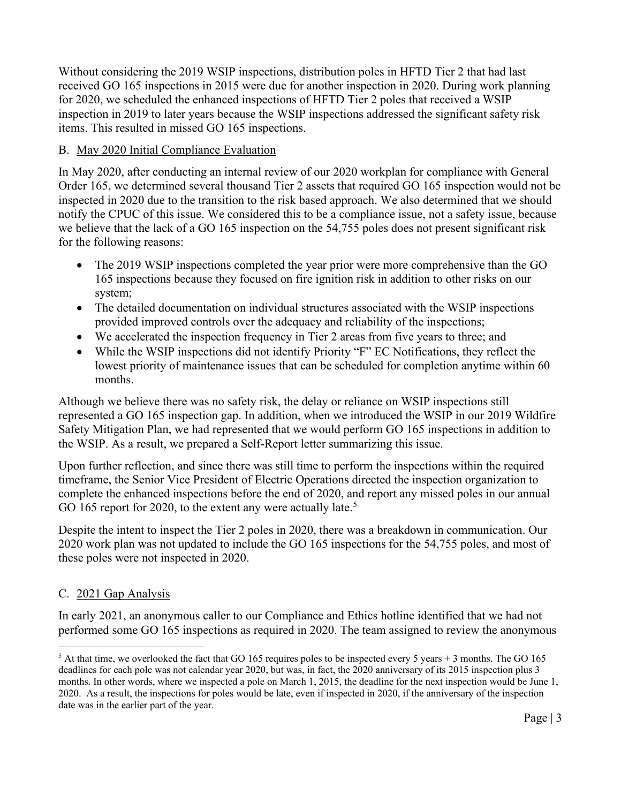Without considering the 2019 WSIP inspections, distribution poles in HFTD Tier 2 that had last received GO 165 inspections in 2015 were due for another inspection in 2020. During work planning for 2020, we scheduled the enhanced inspections of HFTD Tier 2 poles that received a WSIP inspection in 2019 to later years because the WSIP inspections addressed the significant safety risk items. This resulted in missed GO 165 inspections.

## B. May 2020 Initial Compliance Evaluation

In May 2020, after conducting an internal review of our 2020 workplan for compliance with General Order 165, we determined several thousand Tier 2 assets that required GO 165 inspection would not be inspected in 2020 due to the transition to the risk based approach. We also determined that we should notify the CPUC of this issue. We considered this to be a compliance issue, not a safety issue, because we believe that the lack of a GO 165 inspection on the 54,755 poles does not present significant risk for the following reasons:

- The 2019 WSIP inspections completed the year prior were more comprehensive than the GO 165 inspections because they focused on fire ignition risk in addition to other risks on our system;
- The detailed documentation on individual structures associated with the WSIP inspections provided improved controls over the adequacy and reliability of the inspections;
- We accelerated the inspection frequency in Tier 2 areas from five years to three; and
- While the WSIP inspections did not identify Priority "F" EC Notifications, they reflect the lowest priority of maintenance issues that can be scheduled for completion anytime within 60 months.

Although we believe there was no safety risk, the delay or reliance on WSIP inspections still represented a GO 165 inspection gap. In addition, when we introduced the WSIP in our 2019 Wildfire Safety Mitigation Plan, we had represented that we would perform GO 165 inspections in addition to the WSIP. As a result, we prepared a Self-Report letter summarizing this issue.

Upon further reflection, and since there was still time to perform the inspections within the required timeframe, the Senior Vice President of Electric Operations directed the inspection organization to complete the enhanced inspections before the end of 2020, and report any missed poles in our annual GO 16[5](#page-2-0) report for 2020, to the extent any were actually late.<sup>5</sup>

Despite the intent to inspect the Tier 2 poles in 2020, there was a breakdown in communication. Our 2020 work plan was not updated to include the GO 165 inspections for the 54,755 poles, and most of these poles were not inspected in 2020.

## C. 2021 Gap Analysis

In early 2021, an anonymous caller to our Compliance and Ethics hotline identified that we had not performed some GO 165 inspections as required in 2020. The team assigned to review the anonymous

<span id="page-2-0"></span> $5$  At that time, we overlooked the fact that GO 165 requires poles to be inspected every 5 years + 3 months. The GO 165 deadlines for each pole was not calendar year 2020, but was, in fact, the 2020 anniversary of its 2015 inspection plus 3 months. In other words, where we inspected a pole on March 1, 2015, the deadline for the next inspection would be June 1, 2020. As a result, the inspections for poles would be late, even if inspected in 2020, if the anniversary of the inspection date was in the earlier part of the year.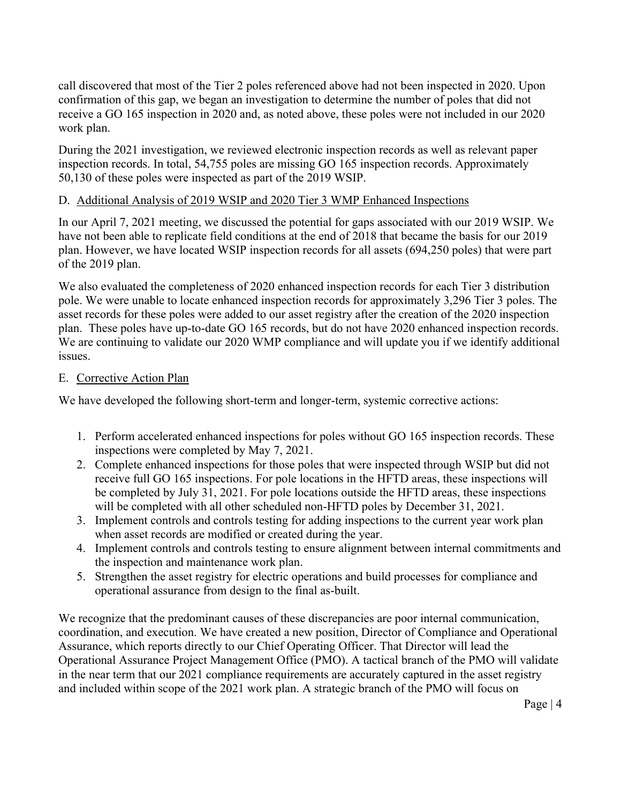call discovered that most of the Tier 2 poles referenced above had not been inspected in 2020. Upon confirmation of this gap, we began an investigation to determine the number of poles that did not receive a GO 165 inspection in 2020 and, as noted above, these poles were not included in our 2020 work plan.

During the 2021 investigation, we reviewed electronic inspection records as well as relevant paper inspection records. In total, 54,755 poles are missing GO 165 inspection records. Approximately 50,130 of these poles were inspected as part of the 2019 WSIP.

### D. Additional Analysis of 2019 WSIP and 2020 Tier 3 WMP Enhanced Inspections

In our April 7, 2021 meeting, we discussed the potential for gaps associated with our 2019 WSIP. We have not been able to replicate field conditions at the end of 2018 that became the basis for our 2019 plan. However, we have located WSIP inspection records for all assets (694,250 poles) that were part of the 2019 plan.

We also evaluated the completeness of 2020 enhanced inspection records for each Tier 3 distribution pole. We were unable to locate enhanced inspection records for approximately 3,296 Tier 3 poles. The asset records for these poles were added to our asset registry after the creation of the 2020 inspection plan. These poles have up-to-date GO 165 records, but do not have 2020 enhanced inspection records. We are continuing to validate our 2020 WMP compliance and will update you if we identify additional issues.

#### E. Corrective Action Plan

We have developed the following short-term and longer-term, systemic corrective actions:

- 1. Perform accelerated enhanced inspections for poles without GO 165 inspection records. These inspections were completed by May 7, 2021.
- 2. Complete enhanced inspections for those poles that were inspected through WSIP but did not receive full GO 165 inspections. For pole locations in the HFTD areas, these inspections will be completed by July 31, 2021. For pole locations outside the HFTD areas, these inspections will be completed with all other scheduled non-HFTD poles by December 31, 2021.
- 3. Implement controls and controls testing for adding inspections to the current year work plan when asset records are modified or created during the year.
- 4. Implement controls and controls testing to ensure alignment between internal commitments and the inspection and maintenance work plan.
- 5. Strengthen the asset registry for electric operations and build processes for compliance and operational assurance from design to the final as-built.

We recognize that the predominant causes of these discrepancies are poor internal communication, coordination, and execution. We have created a new position, Director of Compliance and Operational Assurance, which reports directly to our Chief Operating Officer. That Director will lead the Operational Assurance Project Management Office (PMO). A tactical branch of the PMO will validate in the near term that our 2021 compliance requirements are accurately captured in the asset registry and included within scope of the 2021 work plan. A strategic branch of the PMO will focus on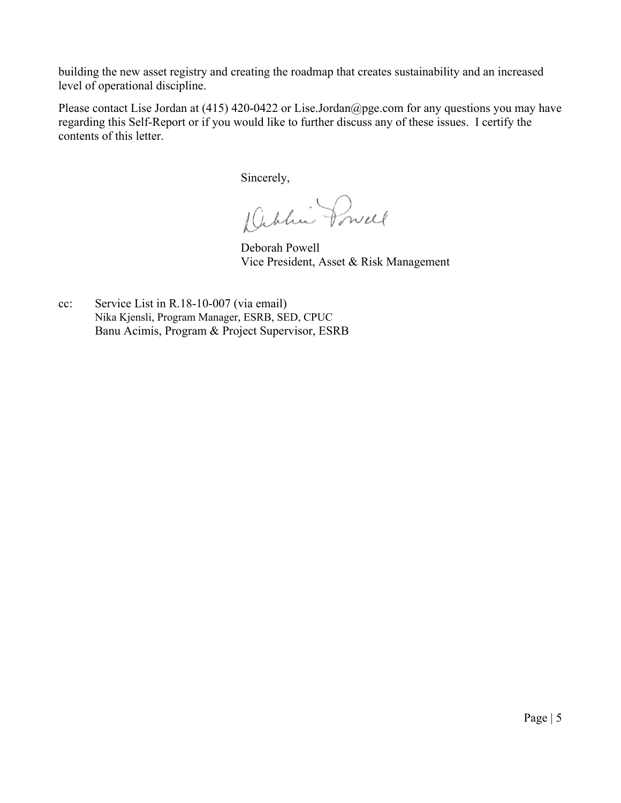building the new asset registry and creating the roadmap that creates sustainability and an increased level of operational discipline.

Please contact Lise Jordan at (415) 420-0422 or [Lise.Jordan@pge.com](mailto:Lise.Jordan@pge.com) for any questions you may have regarding this Self-Report or if you would like to further discuss any of these issues. I certify the contents of this letter.

Sincerely,

Deblin Powell

Deborah Powell Vice President, Asset & Risk Management

cc: Service List in R.18-10-007 (via email) Nika Kjensli, Program Manager, ESRB, SED, CPUC Banu Acimis, Program & Project Supervisor, ESRB